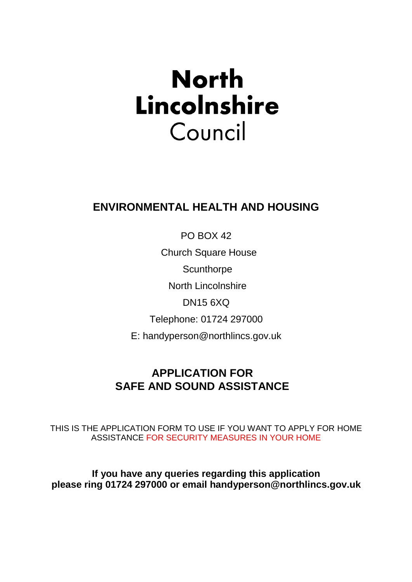# **North** Lincolnshire Council

# **ENVIRONMENTAL HEALTH AND HOUSING**

PO BOX 42

Church Square House

**Scunthorpe** 

North Lincolnshire

DN15 6XQ

Telephone: 01724 297000

E: handyperson@northlincs.gov.uk

## **APPLICATION FOR SAFE AND SOUND ASSISTANCE**

THIS IS THE APPLICATION FORM TO USE IF YOU WANT TO APPLY FOR HOME ASSISTANCE FOR SECURITY MEASURES IN YOUR HOME

**If you have any queries regarding this application please ring 01724 297000 or email handyperson@northlincs.gov.uk**